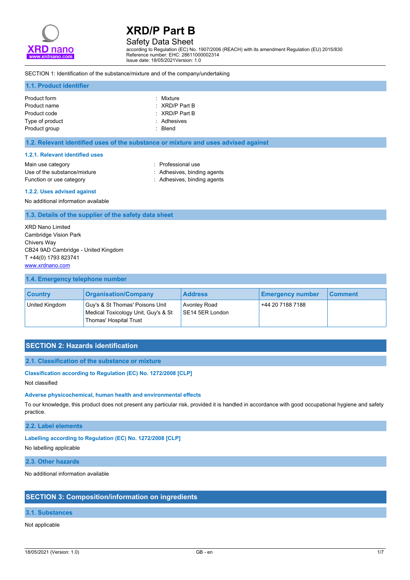

# Safety Data Sheet

according to Regulation (EC) No. 1907/2006 (REACH) with its amendment Regulation (EU) 2015/830 Reference number: EHC: 28611000002314 Issue date: 18/05/2021Version: 1.0

### SECTION 1: Identification of the substance/mixture and of the company/undertaking

### **1.1. Product identifier**

| Product form<br>Product name     | : Mixture<br>$\therefore$ XRD/P Part B |
|----------------------------------|----------------------------------------|
| Product code                     | $\therefore$ XRD/P Part B              |
| Type of product<br>Product group | : Adhesives<br>: Blend                 |

### **1.2. Relevant identified uses of the substance or mixture and uses advised against**

#### **1.2.1. Relevant identified uses**

| Main use category            |  |
|------------------------------|--|
| Use of the substance/mixture |  |
| Function or use category     |  |

: Professional use : Adhesives, binding agents : Adhesives, binding agents

#### **1.2.2. Uses advised against**

No additional information available

### **1.3. Details of the supplier of the safety data sheet**

XRD Nano Limited Cambridge Vision Park Chivers Way CB24 9AD Cambridge - United Kingdom T +44(0) 1793 823741 <www.xrdnano.com>

### **1.4. Emergency telephone number**

| <b>Country</b> | <b>Organisation/Company</b>                                                                      | <b>Address</b>                  | <b>Emergency number</b> | <b>Comment</b> |
|----------------|--------------------------------------------------------------------------------------------------|---------------------------------|-------------------------|----------------|
| United Kingdom | Guy's & St Thomas' Poisons Unit<br>Medical Toxicology Unit, Guy's & St<br>Thomas' Hospital Trust | Avonley Road<br>SE14 5ER London | +44 20 7188 7188        |                |

## **SECTION 2: Hazards identification**

### **2.1. Classification of the substance or mixture**

#### **Classification according to Regulation (EC) No. 1272/2008 [CLP]**

Not classified

#### **Adverse physicochemical, human health and environmental effects**

To our knowledge, this product does not present any particular risk, provided it is handled in accordance with good occupational hygiene and safety practice.

## **2.2. Label elements**

#### **Labelling according to Regulation (EC) No. 1272/2008 [CLP]**

No labelling applicable

### **2.3. Other hazards**

No additional information available

## **SECTION 3: Composition/information on ingredients**

## **3.1. Substances**

Not applicable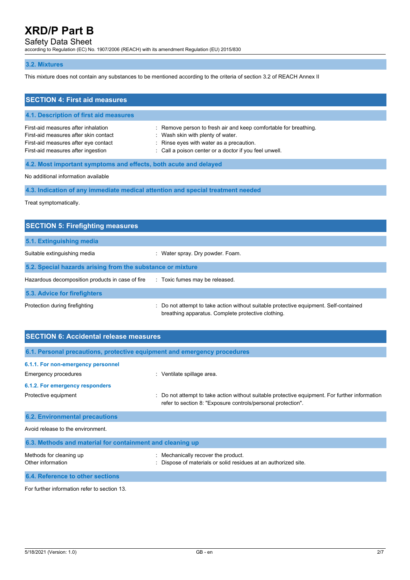## Safety Data Sheet

according to Regulation (EC) No. 1907/2006 (REACH) with its amendment Regulation (EU) 2015/830

## **3.2. Mixtures**

This mixture does not contain any substances to be mentioned according to the criteria of section 3.2 of REACH Annex II

| <b>SECTION 4: First aid measures</b>                                                                                                                       |                                                                                                                                                                                                             |
|------------------------------------------------------------------------------------------------------------------------------------------------------------|-------------------------------------------------------------------------------------------------------------------------------------------------------------------------------------------------------------|
| 4.1. Description of first aid measures                                                                                                                     |                                                                                                                                                                                                             |
| First-aid measures after inhalation<br>First-aid measures after skin contact<br>First-aid measures after eye contact<br>First-aid measures after ingestion | : Remove person to fresh air and keep comfortable for breathing.<br>: Wash skin with plenty of water.<br>: Rinse eyes with water as a precaution.<br>: Call a poison center or a doctor if you feel unwell. |
| 4.2. Most important symptoms and effects, both acute and delayed                                                                                           |                                                                                                                                                                                                             |

No additional information available

**4.3. Indication of any immediate medical attention and special treatment needed**

Treat symptomatically.

| <b>SECTION 5: Firefighting measures</b>                    |                                                                                                                                             |
|------------------------------------------------------------|---------------------------------------------------------------------------------------------------------------------------------------------|
| 5.1. Extinguishing media                                   |                                                                                                                                             |
| Suitable extinguishing media                               | : Water spray. Dry powder. Foam.                                                                                                            |
| 5.2. Special hazards arising from the substance or mixture |                                                                                                                                             |
| Hazardous decomposition products in case of fire           | : Toxic fumes may be released.                                                                                                              |
| 5.3. Advice for firefighters                               |                                                                                                                                             |
| Protection during firefighting                             | : Do not attempt to take action without suitable protective equipment. Self-contained<br>breathing apparatus. Complete protective clothing. |

| <b>SECTION 6: Accidental release measures</b>                            |                                                                                                                                                                |
|--------------------------------------------------------------------------|----------------------------------------------------------------------------------------------------------------------------------------------------------------|
| 6.1. Personal precautions, protective equipment and emergency procedures |                                                                                                                                                                |
| 6.1.1. For non-emergency personnel                                       |                                                                                                                                                                |
| <b>Emergency procedures</b>                                              | Ventilate spillage area.<br>÷.                                                                                                                                 |
| 6.1.2. For emergency responders                                          |                                                                                                                                                                |
| Protective equipment                                                     | : Do not attempt to take action without suitable protective equipment. For further information<br>refer to section 8: "Exposure controls/personal protection". |
| <b>6.2. Environmental precautions</b>                                    |                                                                                                                                                                |
| Avoid release to the environment.                                        |                                                                                                                                                                |
| 6.3. Methods and material for containment and cleaning up                |                                                                                                                                                                |

| Methods for cleaning up          | Mechanically recover the product.                               |
|----------------------------------|-----------------------------------------------------------------|
| Other information                | : Dispose of materials or solid residues at an authorized site. |
| 6.4. Reference to other sections |                                                                 |

For further information refer to section 13.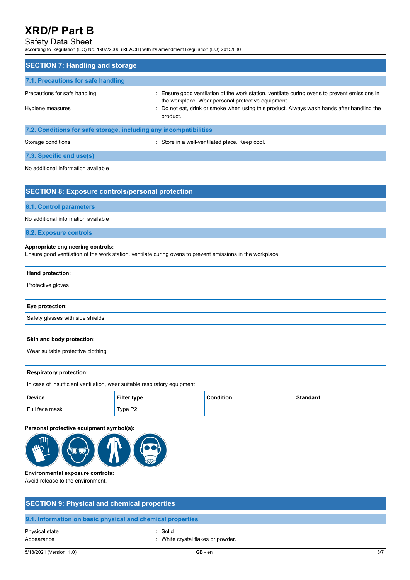# Safety Data Sheet

according to Regulation (EC) No. 1907/2006 (REACH) with its amendment Regulation (EU) 2015/830

| <b>SECTION 7: Handling and storage</b>                            |                                                                                                                                                     |  |  |
|-------------------------------------------------------------------|-----------------------------------------------------------------------------------------------------------------------------------------------------|--|--|
| 7.1. Precautions for safe handling                                |                                                                                                                                                     |  |  |
| Precautions for safe handling                                     | : Ensure good ventilation of the work station, ventilate curing ovens to prevent emissions in<br>the workplace. Wear personal protective equipment. |  |  |
| Hygiene measures                                                  | : Do not eat, drink or smoke when using this product. Always wash hands after handling the<br>product.                                              |  |  |
| 7.2. Conditions for safe storage, including any incompatibilities |                                                                                                                                                     |  |  |
| Storage conditions                                                | : Store in a well-ventilated place. Keep cool.                                                                                                      |  |  |

**7.3. Specific end use(s)**

No additional information available

| <b>SECTION 8: Exposure controls/personal protection</b> |  |
|---------------------------------------------------------|--|
|                                                         |  |
|                                                         |  |

## **8.1. Control parameters**

No additional information available

## **8.2. Exposure controls**

## **Appropriate engineering controls:**

Ensure good ventilation of the work station, ventilate curing ovens to prevent emissions in the workplace.

| Hand protection:                  |
|-----------------------------------|
| Protective gloves                 |
|                                   |
| Eye protection:                   |
| Safety glasses with side shields  |
|                                   |
| Skin and body protection:         |
| Wear suitable protective clothing |
|                                   |
|                                   |

| <b>Respiratory protection:</b>                                           |             |                  |                 |
|--------------------------------------------------------------------------|-------------|------------------|-----------------|
| In case of insufficient ventilation, wear suitable respiratory equipment |             |                  |                 |
| <b>Device</b>                                                            | Filter type | <b>Condition</b> | <b>Standard</b> |
| Full face mask                                                           | Type P2     |                  |                 |

## **Personal protective equipment symbol(s):**



## **Environmental exposure controls:**

Avoid release to the environment.

| <b>SECTION 9: Physical and chemical properties</b> |                                                            |  |  |  |
|----------------------------------------------------|------------------------------------------------------------|--|--|--|
|                                                    | 9.1. Information on basic physical and chemical properties |  |  |  |
| Physical state<br>Appearance                       | : Solid<br>: White crystal flakes or powder.               |  |  |  |

5/18/2021 (Version: 1.0) GB - en 3/7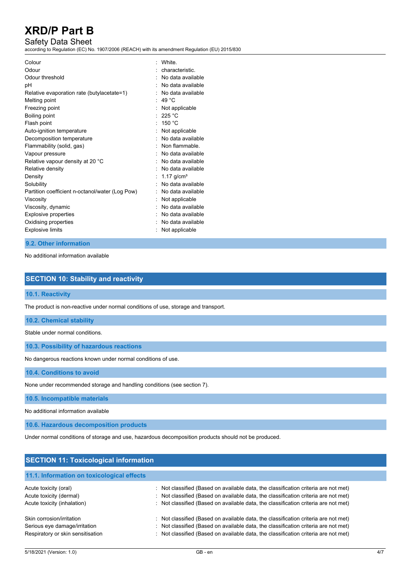# Safety Data Sheet

according to Regulation (EC) No. 1907/2006 (REACH) with its amendment Regulation (EU) 2015/830

| Colour<br>Odour<br>Odour threshold<br>рH<br>Relative evaporation rate (butylacetate=1)<br>Melting point<br>Freezing point<br>Boiling point<br>Flash point<br>Auto-ignition temperature<br>Decomposition temperature<br>Flammability (solid, gas)<br>Vapour pressure<br>Relative vapour density at 20 °C<br>Relative density<br>Density<br>Solubility | White<br>characteristic.<br>No data available<br>No data available<br>No data available<br>49 $^{\circ}$ C<br>Not applicable<br>225 °C<br>150 $^{\circ}$ C<br>Not applicable<br>No data available<br>Non flammable.<br>No data available<br>No data available<br>No data available<br>1.17 $q/cm^{3}$<br>No data available |
|------------------------------------------------------------------------------------------------------------------------------------------------------------------------------------------------------------------------------------------------------------------------------------------------------------------------------------------------------|----------------------------------------------------------------------------------------------------------------------------------------------------------------------------------------------------------------------------------------------------------------------------------------------------------------------------|
| Partition coefficient n-octanol/water (Log Pow)<br>Viscosity<br>Viscosity, dynamic<br><b>Explosive properties</b><br>Oxidising properties<br><b>Explosive limits</b>                                                                                                                                                                                 | No data available<br>Not applicable<br>No data available<br>No data available<br>No data available<br>Not applicable                                                                                                                                                                                                       |

## **9.2. Other information**

No additional information available

# **SECTION 10: Stability and reactivity**

### **10.1. Reactivity**

The product is non-reactive under normal conditions of use, storage and transport.

**10.2. Chemical stability**

Stable under normal conditions.

**10.3. Possibility of hazardous reactions**

No dangerous reactions known under normal conditions of use.

**10.4. Conditions to avoid**

None under recommended storage and handling conditions (see section 7).

**10.5. Incompatible materials**

No additional information available

**10.6. Hazardous decomposition products**

Under normal conditions of storage and use, hazardous decomposition products should not be produced.

# **SECTION 11: Toxicological information 11.1. Information on toxicological effects** Acute toxicity (oral) **in the classified (Based on available data, the classification criteria are not met)** Acute toxicity (dermal) : Not classified (Based on available data, the classification criteria are not met) Acute toxicity (inhalation) : Not classified (Based on available data, the classification criteria are not met) Skin corrosion/irritation : Not classified (Based on available data, the classification criteria are not met) Serious eye damage/irritation : Not classified (Based on available data, the classification criteria are not met) Respiratory or skin sensitisation : Not classified (Based on available data, the classification criteria are not met)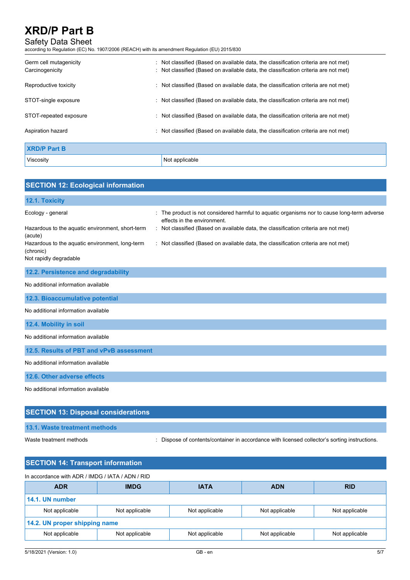# Safety Data Sheet

according to Regulation (EC) No. 1907/2006 (REACH) with its amendment Regulation (EU) 2015/830

| Germ cell mutagenicity<br>Carcinogenicity | : Not classified (Based on available data, the classification criteria are not met)<br>: Not classified (Based on available data, the classification criteria are not met) |
|-------------------------------------------|----------------------------------------------------------------------------------------------------------------------------------------------------------------------------|
| Reproductive toxicity                     | : Not classified (Based on available data, the classification criteria are not met)                                                                                        |
| STOT-single exposure                      | : Not classified (Based on available data, the classification criteria are not met)                                                                                        |
| STOT-repeated exposure                    | $\therefore$ Not classified (Based on available data, the classification criteria are not met)                                                                             |
| Aspiration hazard                         | : Not classified (Based on available data, the classification criteria are not met)                                                                                        |
| <b>XRD/P Part B</b>                       |                                                                                                                                                                            |
| Viscosity                                 | Not applicable                                                                                                                                                             |

| <b>SECTION 12: Ecological information</b>                    |                                                                                                                          |
|--------------------------------------------------------------|--------------------------------------------------------------------------------------------------------------------------|
| 12.1. Toxicity                                               |                                                                                                                          |
| Ecology - general                                            | The product is not considered harmful to aquatic organisms nor to cause long-term adverse<br>effects in the environment. |
| Hazardous to the aquatic environment, short-term<br>(acute)  | : Not classified (Based on available data, the classification criteria are not met)                                      |
| Hazardous to the aquatic environment, long-term<br>(chronic) | : Not classified (Based on available data, the classification criteria are not met)                                      |
| Not rapidly degradable                                       |                                                                                                                          |
| 12.2. Persistence and degradability                          |                                                                                                                          |
| No additional information available                          |                                                                                                                          |
| 12.3. Bioaccumulative potential                              |                                                                                                                          |
| No additional information available                          |                                                                                                                          |
| 12.4. Mobility in soil                                       |                                                                                                                          |
| No additional information available                          |                                                                                                                          |
| 12.5. Results of PBT and vPvB assessment                     |                                                                                                                          |
| No additional information available                          |                                                                                                                          |
| 12.6. Other adverse effects                                  |                                                                                                                          |
| No additional information available                          |                                                                                                                          |
| <b>SECTION 13: Disposal considerations</b>                   |                                                                                                                          |

# **13.1. Waste treatment methods**

Waste treatment methods : Dispose of contents/container in accordance with licensed collector's sorting instructions.

| <b>SECTION 14: Transport information</b>         |                |                |                |                |
|--------------------------------------------------|----------------|----------------|----------------|----------------|
| In accordance with ADR / IMDG / IATA / ADN / RID |                |                |                |                |
| <b>ADR</b>                                       | <b>IMDG</b>    | <b>IATA</b>    | <b>ADN</b>     | <b>RID</b>     |
| 14.1. UN number                                  |                |                |                |                |
| Not applicable                                   | Not applicable | Not applicable | Not applicable | Not applicable |
| 14.2. UN proper shipping name                    |                |                |                |                |
| Not applicable                                   | Not applicable | Not applicable | Not applicable | Not applicable |
|                                                  |                |                |                |                |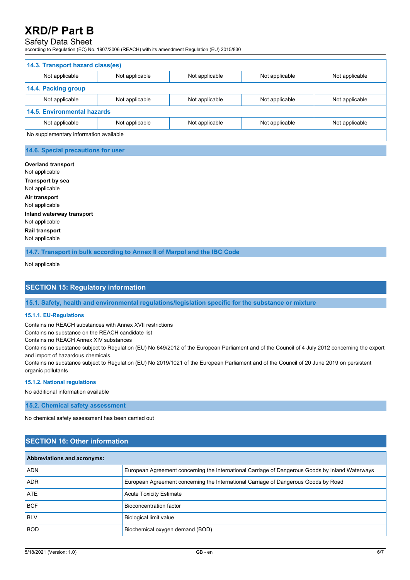# Safety Data Sheet

according to Regulation (EC) No. 1907/2006 (REACH) with its amendment Regulation (EU) 2015/830

| 14.3. Transport hazard class(es)       |                |                |                |                |
|----------------------------------------|----------------|----------------|----------------|----------------|
| Not applicable                         | Not applicable | Not applicable | Not applicable | Not applicable |
| 14.4. Packing group                    |                |                |                |                |
| Not applicable                         | Not applicable | Not applicable | Not applicable | Not applicable |
| <b>14.5. Environmental hazards</b>     |                |                |                |                |
| Not applicable                         | Not applicable | Not applicable | Not applicable | Not applicable |
| No supplementary information available |                |                |                |                |

### **14.6. Special precautions for user**

**Overland transport** Not applicable **Transport by sea** Not applicable **Air transport** Not applicable **Inland waterway transport** Not applicable **Rail transport** Not applicable

**14.7. Transport in bulk according to Annex II of Marpol and the IBC Code**

Not applicable

## **SECTION 15: Regulatory information**

**15.1. Safety, health and environmental regulations/legislation specific for the substance or mixture**

#### **15.1.1. EU-Regulations**

Contains no REACH substances with Annex XVII restrictions

Contains no substance on the REACH candidate list

Contains no REACH Annex XIV substances

Contains no substance subject to Regulation (EU) No 649/2012 of the European Parliament and of the Council of 4 July 2012 concerning the export and import of hazardous chemicals.

Contains no substance subject to Regulation (EU) No 2019/1021 of the European Parliament and of the Council of 20 June 2019 on persistent organic pollutants

### **15.1.2. National regulations**

No additional information available

**15.2. Chemical safety assessment**

No chemical safety assessment has been carried out

## **SECTION 16: Other information**

| <b>Abbreviations and acronyms:</b> |                                                                                                 |
|------------------------------------|-------------------------------------------------------------------------------------------------|
| <b>ADN</b>                         | European Agreement concerning the International Carriage of Dangerous Goods by Inland Waterways |
| <b>ADR</b>                         | European Agreement concerning the International Carriage of Dangerous Goods by Road             |
| <b>ATE</b>                         | <b>Acute Toxicity Estimate</b>                                                                  |
| <b>BCF</b>                         | Bioconcentration factor                                                                         |
| <b>BLV</b>                         | Biological limit value                                                                          |
| <b>BOD</b>                         | Biochemical oxygen demand (BOD)                                                                 |